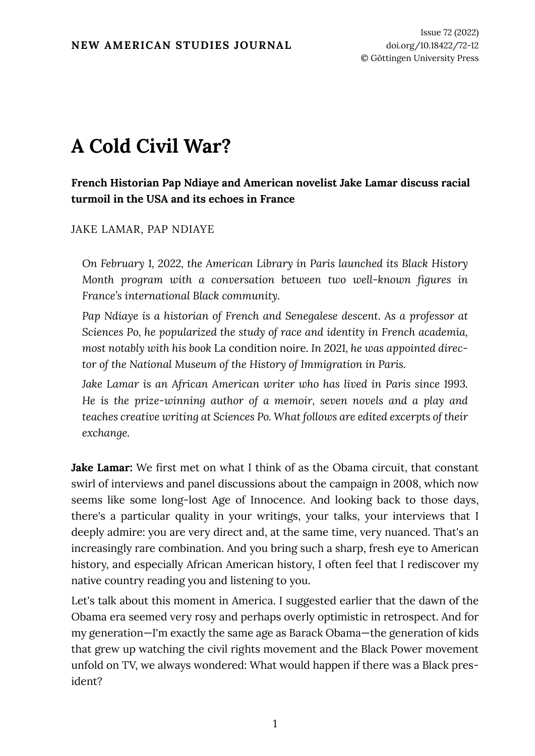## **A Cold Civil War?**

## **French Historian Pap Ndiaye and American novelist Jake Lamar discuss racial turmoil in the USA and its echoes in France**

## JAKE LAMAR, PAP NDIAYE

*On February 1, 2022, the American Library in Paris launched its Black History Month program with a conversation between two well-known figures in France's international Black community.*

*Pap Ndiaye is a historian of French and Senegalese descent. As a professor at Sciences Po, he popularized the study of race and identity in French academia, most notably with his book* La condition noire*. In 2021, he was appointed director of the National Museum of the History of Immigration in Paris.*

*Jake Lamar is an African American writer who has lived in Paris since 1993. He is the prize-winning author of a memoir, seven novels and a play and teaches creative writing at Sciences Po. What follows are edited excerpts of their exchange.*

**Jake Lamar:** We first met on what I think of as the Obama circuit, that constant swirl of interviews and panel discussions about the campaign in 2008, which now seems like some long-lost Age of Innocence. And looking back to those days, there's a particular quality in your writings, your talks, your interviews that I deeply admire: you are very direct and, at the same time, very nuanced. That's an increasingly rare combination. And you bring such a sharp, fresh eye to American history, and especially African American history, I often feel that I rediscover my native country reading you and listening to you.

Let's talk about this moment in America. I suggested earlier that the dawn of the Obama era seemed very rosy and perhaps overly optimistic in retrospect. And for my generation—I'm exactly the same age as Barack Obama—the generation of kids that grew up watching the civil rights movement and the Black Power movement unfold on TV, we always wondered: What would happen if there was a Black president?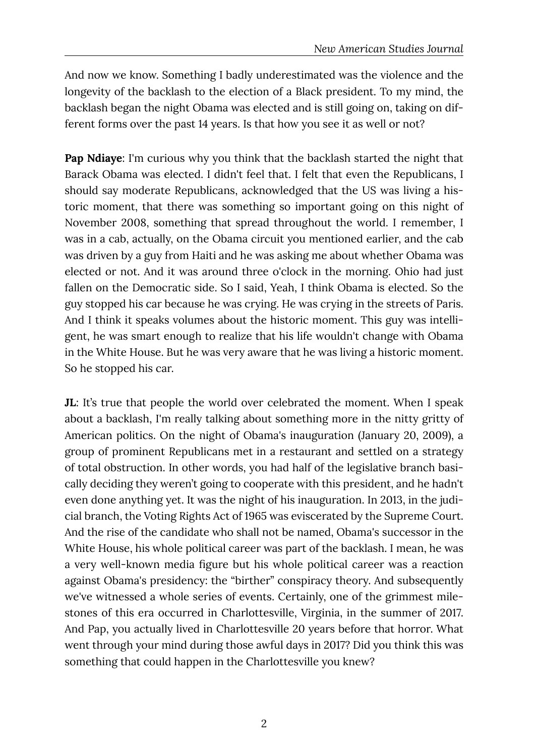And now we know. Something I badly underestimated was the violence and the longevity of the backlash to the election of a Black president. To my mind, the backlash began the night Obama was elected and is still going on, taking on different forms over the past 14 years. Is that how you see it as well or not?

**Pap Ndiaye:** I'm curious why you think that the backlash started the night that Barack Obama was elected. I didn't feel that. I felt that even the Republicans, I should say moderate Republicans, acknowledged that the US was living a historic moment, that there was something so important going on this night of November 2008, something that spread throughout the world. I remember, I was in a cab, actually, on the Obama circuit you mentioned earlier, and the cab was driven by a guy from Haiti and he was asking me about whether Obama was elected or not. And it was around three o'clock in the morning. Ohio had just fallen on the Democratic side. So I said, Yeah, I think Obama is elected. So the guy stopped his car because he was crying. He was crying in the streets of Paris. And I think it speaks volumes about the historic moment. This guy was intelligent, he was smart enough to realize that his life wouldn't change with Obama in the White House. But he was very aware that he was living a historic moment. So he stopped his car.

**JL**: It's true that people the world over celebrated the moment. When I speak about a backlash, I'm really talking about something more in the nitty gritty of American politics. On the night of Obama's inauguration (January 20, 2009), a group of prominent Republicans met in a restaurant and settled on a strategy of total obstruction. In other words, you had half of the legislative branch basically deciding they weren't going to cooperate with this president, and he hadn't even done anything yet. It was the night of his inauguration. In 2013, in the judicial branch, the Voting Rights Act of 1965 was eviscerated by the Supreme Court. And the rise of the candidate who shall not be named, Obama's successor in the White House, his whole political career was part of the backlash. I mean, he was a very well-known media figure but his whole political career was a reaction against Obama's presidency: the "birther" conspiracy theory. And subsequently we've witnessed a whole series of events. Certainly, one of the grimmest milestones of this era occurred in Charlottesville, Virginia, in the summer of 2017. And Pap, you actually lived in Charlottesville 20 years before that horror. What went through your mind during those awful days in 2017? Did you think this was something that could happen in the Charlottesville you knew?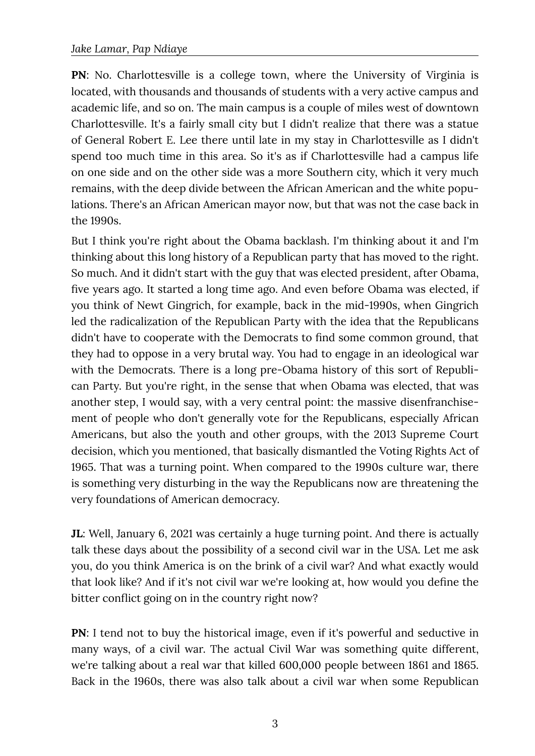**PN**: No. Charlottesville is a college town, where the University of Virginia is located, with thousands and thousands of students with a very active campus and academic life, and so on. The main campus is a couple of miles west of downtown Charlottesville. It's a fairly small city but I didn't realize that there was a statue of General Robert E. Lee there until late in my stay in Charlottesville as I didn't spend too much time in this area. So it's as if Charlottesville had a campus life on one side and on the other side was a more Southern city, which it very much remains, with the deep divide between the African American and the white populations. There's an African American mayor now, but that was not the case back in the 1990s.

But I think you're right about the Obama backlash. I'm thinking about it and I'm thinking about this long history of a Republican party that has moved to the right. So much. And it didn't start with the guy that was elected president, after Obama, five years ago. It started a long time ago. And even before Obama was elected, if you think of Newt Gingrich, for example, back in the mid-1990s, when Gingrich led the radicalization of the Republican Party with the idea that the Republicans didn't have to cooperate with the Democrats to find some common ground, that they had to oppose in a very brutal way. You had to engage in an ideological war with the Democrats. There is a long pre-Obama history of this sort of Republican Party. But you're right, in the sense that when Obama was elected, that was another step, I would say, with a very central point: the massive disenfranchisement of people who don't generally vote for the Republicans, especially African Americans, but also the youth and other groups, with the 2013 Supreme Court decision, which you mentioned, that basically dismantled the Voting Rights Act of 1965. That was a turning point. When compared to the 1990s culture war, there is something very disturbing in the way the Republicans now are threatening the very foundations of American democracy.

**JL**: Well, January 6, 2021 was certainly a huge turning point. And there is actually talk these days about the possibility of a second civil war in the USA. Let me ask you, do you think America is on the brink of a civil war? And what exactly would that look like? And if it's not civil war we're looking at, how would you define the bitter conflict going on in the country right now?

**PN**: I tend not to buy the historical image, even if it's powerful and seductive in many ways, of a civil war. The actual Civil War was something quite different, we're talking about a real war that killed 600,000 people between 1861 and 1865. Back in the 1960s, there was also talk about a civil war when some Republican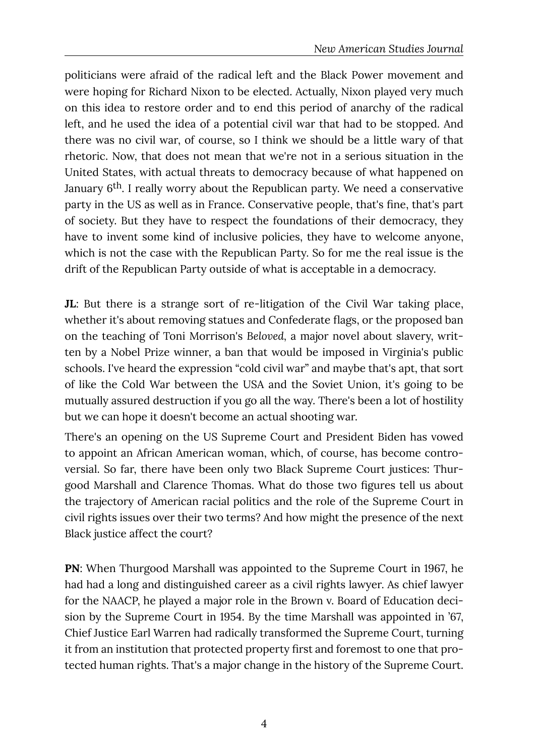politicians were afraid of the radical left and the Black Power movement and were hoping for Richard Nixon to be elected. Actually, Nixon played very much on this idea to restore order and to end this period of anarchy of the radical left, and he used the idea of a potential civil war that had to be stopped. And there was no civil war, of course, so I think we should be a little wary of that rhetoric. Now, that does not mean that we're not in a serious situation in the United States, with actual threats to democracy because of what happened on January 6th. I really worry about the Republican party. We need a conservative party in the US as well as in France. Conservative people, that's fine, that's part of society. But they have to respect the foundations of their democracy, they have to invent some kind of inclusive policies, they have to welcome anyone, which is not the case with the Republican Party. So for me the real issue is the drift of the Republican Party outside of what is acceptable in a democracy.

**JL**: But there is a strange sort of re-litigation of the Civil War taking place, whether it's about removing statues and Confederate flags, or the proposed ban on the teaching of Toni Morrison's *Beloved,* a major novel about slavery, written by a Nobel Prize winner, a ban that would be imposed in Virginia's public schools. I've heard the expression "cold civil war" and maybe that's apt, that sort of like the Cold War between the USA and the Soviet Union, it's going to be mutually assured destruction if you go all the way. There's been a lot of hostility but we can hope it doesn't become an actual shooting war.

There's an opening on the US Supreme Court and President Biden has vowed to appoint an African American woman, which, of course, has become controversial. So far, there have been only two Black Supreme Court justices: Thurgood Marshall and Clarence Thomas. What do those two figures tell us about the trajectory of American racial politics and the role of the Supreme Court in civil rights issues over their two terms? And how might the presence of the next Black justice affect the court?

**PN**: When Thurgood Marshall was appointed to the Supreme Court in 1967, he had had a long and distinguished career as a civil rights lawyer. As chief lawyer for the NAACP, he played a major role in the Brown v. Board of Education decision by the Supreme Court in 1954. By the time Marshall was appointed in '67, Chief Justice Earl Warren had radically transformed the Supreme Court, turning it from an institution that protected property first and foremost to one that protected human rights. That's a major change in the history of the Supreme Court.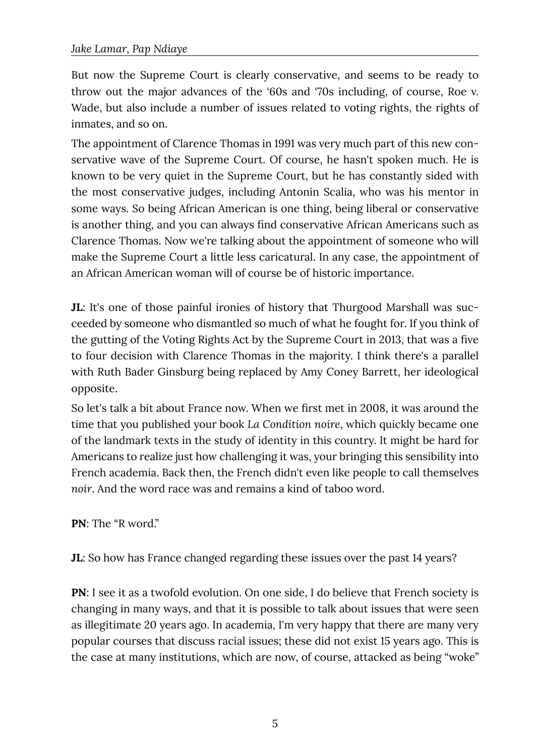But now the Supreme Court is clearly conservative, and seems to be ready to throw out the major advances of the '60s and '70s including, of course, Roe v. Wade, but also include a number of issues related to voting rights, the rights of inmates, and so on.

The appointment of Clarence Thomas in 1991 was very much part of this new conservative wave of the Supreme Court. Of course, he hasn't spoken much. He is known to be very quiet in the Supreme Court, but he has constantly sided with the most conservative judges, including Antonin Scalia, who was his mentor in some ways. So being African American is one thing, being liberal or conservative is another thing, and you can always find conservative African Americans such as Clarence Thomas. Now we're talking about the appointment of someone who will make the Supreme Court a little less caricatural. In any case, the appointment of an African American woman will of course be of historic importance.

**JL**: It's one of those painful ironies of history that Thurgood Marshall was succeeded by someone who dismantled so much of what he fought for. If you think of the gutting of the Voting Rights Act by the Supreme Court in 2013, that was a five to four decision with Clarence Thomas in the majority. I think there's a parallel with Ruth Bader Ginsburg being replaced by Amy Coney Barrett, her ideological opposite.

So let's talk a bit about France now. When we first met in 2008, it was around the time that you published your book *La Condition noire*, which quickly became one of the landmark texts in the study of identity in this country. It might be hard for Americans to realize just how challenging it was, your bringing this sensibility into French academia. Back then, the French didn't even like people to call themselves *noir*. And the word race was and remains a kind of taboo word.

**PN**: The "R word."

**JL**: So how has France changed regarding these issues over the past 14 years?

**PN**: I see it as a twofold evolution. On one side, I do believe that French society is changing in many ways, and that it is possible to talk about issues that were seen as illegitimate 20 years ago. In academia, I'm very happy that there are many very popular courses that discuss racial issues; these did not exist 15 years ago. This is the case at many institutions, which are now, of course, attacked as being "woke"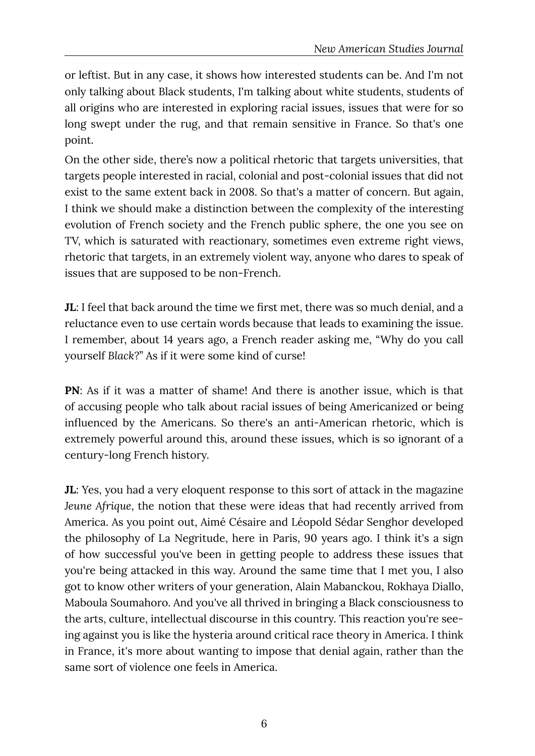or leftist. But in any case, it shows how interested students can be. And I'm not only talking about Black students, I'm talking about white students, students of all origins who are interested in exploring racial issues, issues that were for so long swept under the rug, and that remain sensitive in France. So that's one point.

On the other side, there's now a political rhetoric that targets universities, that targets people interested in racial, colonial and post-colonial issues that did not exist to the same extent back in 2008. So that's a matter of concern. But again, I think we should make a distinction between the complexity of the interesting evolution of French society and the French public sphere, the one you see on TV, which is saturated with reactionary, sometimes even extreme right views, rhetoric that targets, in an extremely violent way, anyone who dares to speak of issues that are supposed to be non-French.

**JL**: I feel that back around the time we first met, there was so much denial, and a reluctance even to use certain words because that leads to examining the issue. I remember, about 14 years ago, a French reader asking me, "Why do you call yourself *Black*?" As if it were some kind of curse!

**PN**: As if it was a matter of shame! And there is another issue, which is that of accusing people who talk about racial issues of being Americanized or being influenced by the Americans. So there's an anti-American rhetoric, which is extremely powerful around this, around these issues, which is so ignorant of a century-long French history.

**JL**: Yes, you had a very eloquent response to this sort of attack in the magazine *Jeune Afrique*, the notion that these were ideas that had recently arrived from America. As you point out, Aimé Césaire and Léopold Sédar Senghor developed the philosophy of La Negritude, here in Paris, 90 years ago. I think it's a sign of how successful you've been in getting people to address these issues that you're being attacked in this way. Around the same time that I met you, I also got to know other writers of your generation, Alain Mabanckou, Rokhaya Diallo, Maboula Soumahoro. And you've all thrived in bringing a Black consciousness to the arts, culture, intellectual discourse in this country. This reaction you're seeing against you is like the hysteria around critical race theory in America. I think in France, it's more about wanting to impose that denial again, rather than the same sort of violence one feels in America.